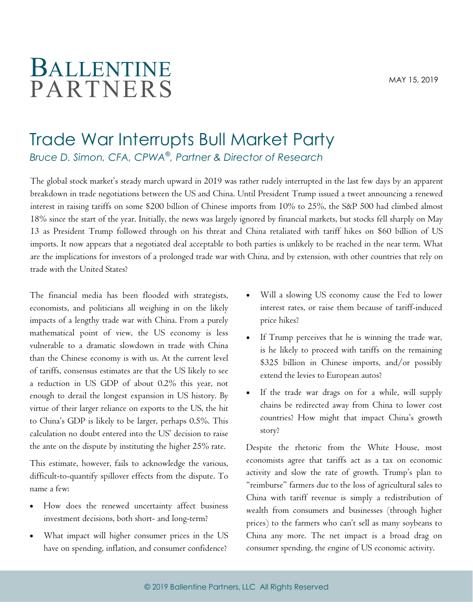## BALLENTINE **PARTNERS**

## Trade War Interrupts Bull Market Party Bruce D. Simon, CFA, CPWA®, Partner & Director of Research

The global stock market's steady march upward in 2019 was rather rudely interrupted in the last few days by an apparent breakdown in trade negotiations between the US and China. Until President Trump issued a tweet announcing a renewed interest in raising tariffs on some \$200 billion of Chinese imports from 10% to 25%, the S&P 500 had climbed almost 18% since the start of the year. Initially, the news was largely ignored by financial markets, but stocks fell sharply on May 13 as President Trump followed through on his threat and China retaliated with tariff hikes on \$60 billion of US imports. It now appears that a negotiated deal acceptable to both parties is unlikely to be reached in the near term. What are the implications for investors of a prolonged trade war with China, and by extension, with other countries that rely on trade with the United States?

The financial media has been flooded with strategists, economists, and politicians all weighing in on the likely impacts of a lengthy trade war with China. From a purely mathematical point of view, the US economy is less vulnerable to a dramatic slowdown in trade with China than the Chinese economy is with us. At the current level of tariffs, consensus estimates are that the US likely to see a reduction in US GDP of about 0.2% this year, not enough to derail the longest expansion in US history. By virtue of their larger reliance on exports to the US, the hit to China's GDP is likely to be larger, perhaps 0.5%. This calculation no doubt entered into the US' decision to raise the ante on the dispute by instituting the higher 25% rate.

This estimate, however, fails to acknowledge the various, difficult-to-quantify spillover effects from the dispute. To name a few:

- How does the renewed uncertainty affect business investment decisions, both short- and long-term?
- What impact will higher consumer prices in the US have on spending, inflation, and consumer confidence?
- Will a slowing US economy cause the Fed to lower interest rates, or raise them because of tariff-induced price hikes?
- If Trump perceives that he is winning the trade war, is he likely to proceed with tariffs on the remaining \$325 billion in Chinese imports, and/or possibly extend the levies to European autos?
- · If the trade war drags on for a while, will supply chains be redirected away from China to lower cost countries? How might that impact China's growth story?

Despite the rhetoric from the White House, most economists agree that tariffs act as a tax on economic activity and slow the rate of growth. Trump's plan to "reimburse" farmers due to the loss of agricultural sales to China with tariff revenue is simply a redistribution of wealth from consumers and businesses (through higher prices) to the farmers who can't sell as many soybeans to China any more. The net impact is a broad drag on consumer spending, the engine of US economic activity.